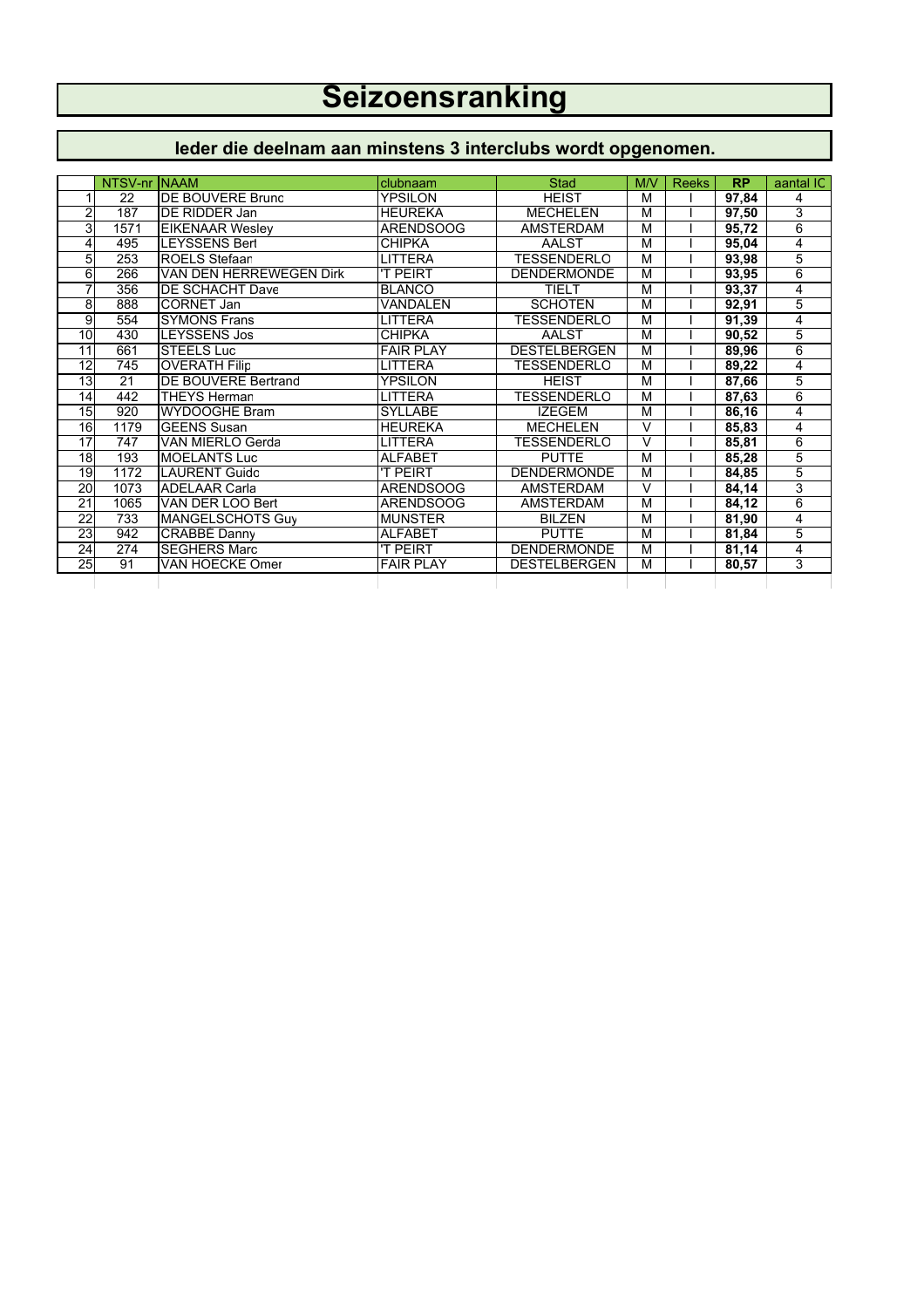## **Seizoensranking**

## **Ieder die deelnam aan minstens 3 interclubs wordt opgenomen.**

|                 | NTSV-nr | <b>INAAM</b>               | clubnaam         | <b>Stad</b>         | M/V                     | <b>Reeks</b> | <b>RP</b> | aantal IC |
|-----------------|---------|----------------------------|------------------|---------------------|-------------------------|--------------|-----------|-----------|
|                 | 22      | DE BOUVERE Bruno           | YPSILON          | <b>HEIST</b>        | M                       |              | 97,84     | 4         |
| 2               | 187     | DE RIDDER Jan              | <b>HEUREKA</b>   | <b>MECHELEN</b>     | M                       |              | 97,50     | 3         |
| 3               | 1571    | <b>EIKENAAR Wesley</b>     | <b>ARENDSOOG</b> | <b>AMSTERDAM</b>    | M                       |              | 95,72     | 6         |
| 4               | 495     | <b>LEYSSENS Bert</b>       | <b>CHIPKA</b>    | <b>AALST</b>        | M                       |              | 95,04     | 4         |
| 5               | 253     | <b>ROELS Stefaan</b>       | LITTERA          | <b>TESSENDERLO</b>  | M                       |              | 93,98     | 5         |
| 6               | 266     | VAN DEN HERREWEGEN Dirk    | <b>T PEIRT</b>   | <b>DENDERMONDE</b>  | M                       |              | 93,95     | 6         |
| 7               | 356     | DE SCHACHT Dave            | <b>BLANCO</b>    | TIFI T              | $\overline{\mathsf{M}}$ |              | 93,37     | 4         |
| 8               | 888     | <b>CORNET Jan</b>          | VANDALEN         | <b>SCHOTEN</b>      | M                       |              | 92,91     | 5         |
| 9               | 554     | <b>SYMONS Frans</b>        | LITTERA          | <b>TESSENDERLO</b>  | M                       |              | 91,39     | 4         |
| 10              | 430     | <b>LEYSSENS Jos</b>        | <b>CHIPKA</b>    | <b>AALST</b>        | $\overline{\mathsf{M}}$ |              | 90,52     | 5         |
| 11              | 661     | <b>STEELS Luc</b>          | <b>FAIR PLAY</b> | <b>DESTELBERGEN</b> | M                       |              | 89,96     | 6         |
| 12              | 745     | <b>OVERATH Filip</b>       | LITTERA          | <b>TESSENDERLO</b>  | M                       |              | 89,22     | 4         |
| 13              | 21      | <b>DE BOUVERE Bertrand</b> | <b>YPSILON</b>   | <b>HFIST</b>        | M                       |              | 87,66     | 5         |
| 14              | 442     | <b>THEYS Herman</b>        | LITTERA          | TESSENDERLO         | M                       |              | 87,63     | 6         |
| 15              | 920     | <b>WYDOOGHE Bram</b>       | <b>SYLLABE</b>   | <b>IZEGEM</b>       | M                       |              | 86,16     | 4         |
| 16              | 1179    | <b>GEENS Susan</b>         | <b>HEUREKA</b>   | <b>MECHELEN</b>     | $\overline{\mathsf{v}}$ |              | 85,83     | 4         |
| 17              | 747     | VAN MIERLO Gerda           | LITTERA          | <b>TESSENDERLO</b>  | $\vee$                  |              | 85,81     | 6         |
| 18              | 193     | <b>MOELANTS Luc</b>        | <b>ALFABET</b>   | <b>PUTTE</b>        | $\overline{\mathsf{M}}$ |              | 85,28     | 5         |
| 19              | 1172    | <b>LAURENT Guido</b>       | <b>T PEIRT</b>   | <b>DENDERMONDE</b>  | M                       |              | 84,85     | 5         |
| 20              | 1073    | <b>ADELAAR Carla</b>       | ARENDSOOG        | AMSTERDAM           | V                       |              | 84,14     | 3         |
| 21              | 1065    | VAN DER LOO Bert           | <b>ARENDSOOG</b> | <b>AMSTERDAM</b>    | M                       |              | 84,12     | 6         |
| $\overline{22}$ | 733     | MANGELSCHOTS Guy           | <b>MUNSTER</b>   | <b>BILZEN</b>       | M                       |              | 81,90     | 4         |
| 23              | 942     | CRABBÉ Danny               | <b>ALFABET</b>   | <b>PUTTE</b>        | M                       |              | 81,84     | 5         |
| 24              | 274     | <b>SEGHERS Marc</b>        | 'T PEIRT         | <b>DENDERMONDE</b>  | M                       |              | 81,14     | 4         |
| 25              | 91      | VAN HOECKE Omer            | <b>FAIR PLAY</b> | <b>DESTELBERGEN</b> | M                       |              | 80,57     | 3         |
|                 |         |                            |                  |                     |                         |              |           |           |